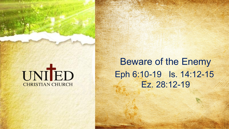# UNIED **CHRISTIAN CHURCH**

Beware of the Enemy Eph 6:10-19 Is. 14:12-15 Ez. 28:12-19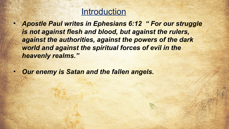## **Introduction**

- *Apostle Paul writes in Ephesians 6:12 " For our struggle is not against flesh and blood, but against the rulers, against the authorities, against the powers of the dark world and against the spiritual forces of evil in the heavenly realms."*
- *Our enemy is Satan and the fallen angels.*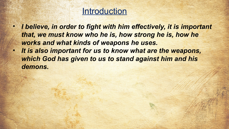## **Introduction**

- *I believe, in order to fight with him effectively, it is important*  that, we must know who he is, how strong he is, how he *works and what kinds of weapons he uses.*
- *It is also important for us to know what are the weapons, which God has given to us to stand against him and his demons.*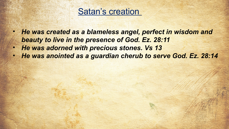

- *He was created as a blameless angel, perfect in wisdom and beauty to live in the presence of God. Ez. 28:11*
- *He was adorned with precious stones. Vs 13*
- *He was anointed as a guardian cherub to serve God. Ez. 28:14*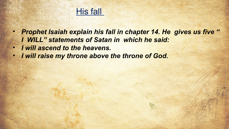

- *Prophet Isaiah explain his fall in chapter 14. He gives us five " I WILL" statements of Satan in which he said:*
- *I will ascend to the heavens.*
- *I will raise my throne above the throne of God.*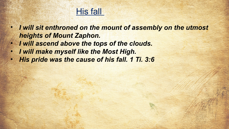## His fall

- *I will sit enthroned on the mount of assembly on the utmost heights of Mount Zaphon.*
- *I will ascend above the tops of the clouds.*
- *I will make myself like the Most High.*
- *His pride was the cause of his fall. 1 Ti. 3:6*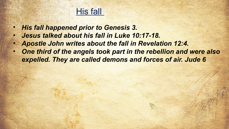## His fall

- *His fall happened prior to Genesis 3.*
- *Jesus talked about his fall in Luke 10:17-18.*
- *Apostle John writes about the fall in Revelation 12:4.*
- *One third of the angels took part in the rebellion and were also expelled. They are called demons and forces of air. Jude 6*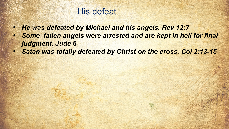## **His defeat**

- *He was defeated by Michael and his angels. Rev 12:7*
- *Some fallen angels were arrested and are kept in hell for final judgment. Jude 6*
- *Satan was totally defeated by Christ on the cross. Col 2:13-15*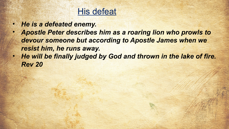## **His defeat**

- *He is a defeated enemy.*
- *Apostle Peter describes him as a roaring lion who prowls to devour someone but according to Apostle James when we resist him, he runs away.*
- *He will be finally judged by God and thrown in the lake of fire. Rev 20*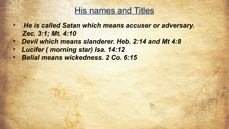## His names and Titles

- *He is called Satan which means accuser or adversary. Zec. 3:1; Mt. 4:10*
- *Devil which means slanderer. Heb. 2:14 and Mt 4:8*
- *Lucifer ( morning star) Isa. 14:12*
- *Belial means wickedness. 2 Co. 6:15*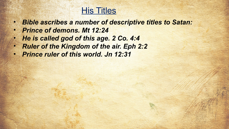# His Titles

- *Bible ascribes a number of descriptive titles to Satan:*
- *Prince of demons. Mt 12:24*
- *He is called god of this age. 2 Co. 4:4*
- *Ruler of the Kingdom of the air. Eph 2:2*
- *Prince ruler of this world. Jn 12:31*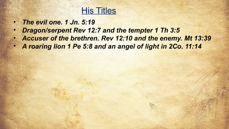## His Titles

- *The evil one. 1 Jn. 5:19*
- *Dragon/serpent Rev 12:7 and the tempter 1 Th 3:5*
- *Accuser of the brethren. Rev 12:10 and the enemy. Mt 13:39*
- *A roaring lion 1 Pe 5:8 and an angel of light in 2Co. 11:14*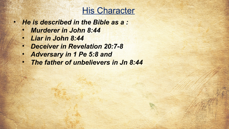# His Character

- *He is described in the Bible as a :*
	- *Murderer in John 8:44*
	- *Liar in John 8:44*
	- *Deceiver in Revelation 20:7-8*
	- *Adversary in 1 Pe 5:8 and*
	- *The father of unbelievers in Jn 8:44*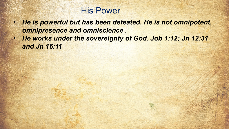## His Power

- *He is powerful but has been defeated. He is not omnipotent, omnipresence and omniscience .*
- *He works under the sovereignty of God. Job 1:12; Jn 12:31 and Jn 16:11*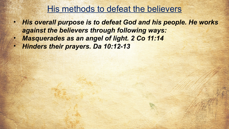## His methods to defeat the believers

- *His overall purpose is to defeat God and his people. He works against the believers through following ways:*
- *Masquerades as an angel of light. 2 Co 11:14*
- *Hinders their prayers. Da 10:12-13*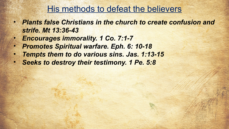## His methods to defeat the believers

- *Plants false Christians in the church to create confusion and strife. Mt 13:36-43*
- *Encourages immorality. 1 Co. 7:1-7*
- *Promotes Spiritual warfare. Eph. 6: 10-18*
- *Tempts them to do various sins. Jas. 1:13-15*
- *Seeks to destroy their testimony. 1 Pe. 5:8*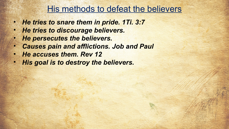## His methods to defeat the believers

- *He tries to snare them in pride. 1Ti. 3:7*
- *He tries to discourage believers.*
- *He persecutes the believers.*
- *Causes pain and afflictions. Job and Paul*
- *He accuses them. Rev 12*
- *His goal is to destroy the believers.*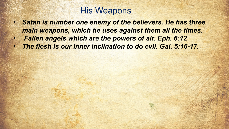## **His Weapons**

- *Satan is number one enemy of the believers. He has three main weapons, which he uses against them all the times.*
- *Fallen angels which are the powers of air. Eph. 6:12*
- *The flesh is our inner inclination to do evil. Gal. 5:16-17.*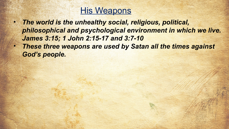

- *The world is the unhealthy social, religious, political, philosophical and psychological environment in which we live. James 3:15; 1 John 2:15-17 and 3:7-10*
- *These three weapons are used by Satan all the times against God's people.*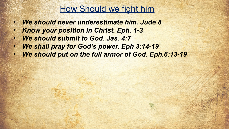## How Should we fight him

- *We should never underestimate him. Jude 8*
- *Know your position in Christ. Eph. 1-3*
- *We should submit to God. Jas. 4:7*
- *We shall pray for God's power. Eph 3:14-19*
- *We should put on the full armor of God. Eph.6:13-19*